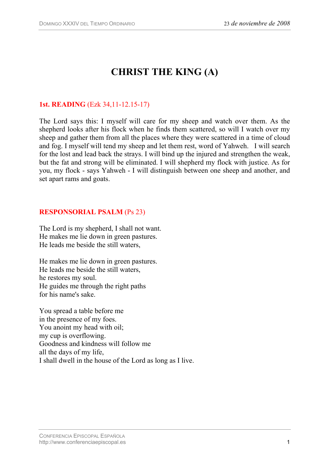# **CHRIST THE KING (A)**

## **1st. READING** (Ezk 34,11-12.15-17)

The Lord says this: I myself will care for my sheep and watch over them. As the shepherd looks after his flock when he finds them scattered, so will I watch over my sheep and gather them from all the places where they were scattered in a time of cloud and fog. I myself will tend my sheep and let them rest, word of Yahweh. I will search for the lost and lead back the strays. I will bind up the injured and strengthen the weak, but the fat and strong will be eliminated. I will shepherd my flock with justice. As for you, my flock - says Yahweh - I will distinguish between one sheep and another, and set apart rams and goats.

### **RESPONSORIAL PSALM** (Ps 23)

The Lord is my shepherd, I shall not want. He makes me lie down in green pastures. He leads me beside the still waters,

He makes me lie down in green pastures. He leads me beside the still waters, he restores my soul. He guides me through the right paths for his name's sake.

You spread a table before me in the presence of my foes. You anoint my head with oil; my cup is overflowing. Goodness and kindness will follow me all the days of my life, I shall dwell in the house of the Lord as long as I live.